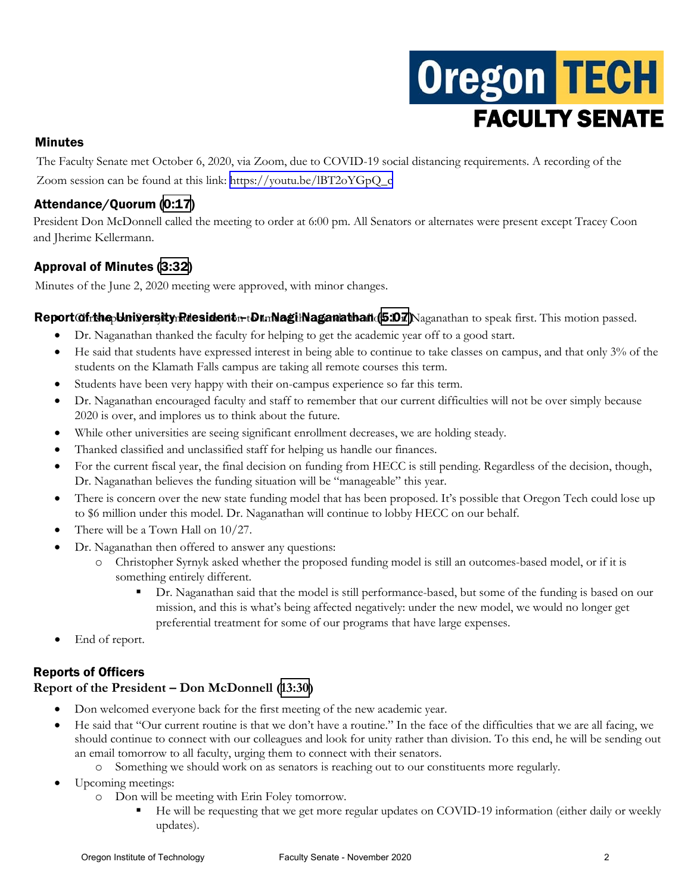# **Oregon TECH** FACULTY SENATE

## Minutes

The Faculty Senate met October 6, 2020, via Zoom, due to COVID-19 social distancing requirements. A recording of the Zoom session can be found at this link: [https://youtu.be/lBT2oYGpQ\\_c](https://youtu.be/lBT2oYGpQ_c)

# Attendance/Quorum ([0:17](https://youtu.be/lBT2oYGpQ_c?t=17))

President Don McDonnell called the meeting to order at 6:00 pm. All Senators or alternates were present except Tracey Coon and Jherime Kellermann.

# Approval of Minutes ([3:32](https://youtu.be/lBT2oYGpQ_c?t=213))

Minutes of the June 2, 2020 meeting were approved, with minor changes.

## $\text{Report}$  $\alpha$ fring University Riesident  $r_t$ Dr. Nagi Naganathan  $(5.07)$  Naganathan to speak first. This motion passed.

- Dr. Naganathan thanked the faculty for helping to get the academic year off to a good start.
- He said that students have expressed interest in being able to continue to take classes on campus, and that only 3% of the students on the Klamath Falls campus are taking all remote courses this term.
- Students have been very happy with their on-campus experience so far this term.
- Dr. Naganathan encouraged faculty and staff to remember that our current difficulties will not be over simply because 2020 is over, and implores us to think about the future.
- While other universities are seeing significant enrollment decreases, we are holding steady.
- Thanked classified and unclassified staff for helping us handle our finances.
- For the current fiscal year, the final decision on funding from HECC is still pending. Regardless of the decision, though, Dr. Naganathan believes the funding situation will be "manageable" this year.
- There is concern over the new state funding model that has been proposed. It's possible that Oregon Tech could lose up to \$6 million under this model. Dr. Naganathan will continue to lobby HECC on our behalf.
- There will be a Town Hall on  $10/27$ .
- Dr. Naganathan then offered to answer any questions:
	- o Christopher Syrnyk asked whether the proposed funding model is still an outcomes-based model, or if it is something entirely different.
		- Dr. Naganathan said that the model is still performance-based, but some of the funding is based on our mission, and this is what's being affected negatively: under the new model, we would no longer get preferential treatment for some of our programs that have large expenses.
- End of report.

# Reports of Officers

## **Report of the President – Don McDonnell [\(13:30\)](https://youtu.be/lBT2oYGpQ_c?t=811)**

- Don welcomed everyone back for the first meeting of the new academic year.
- He said that "Our current routine is that we don't have a routine." In the face of the difficulties that we are all facing, we should continue to connect with our colleagues and look for unity rather than division. To this end, he will be sending out an email tomorrow to all faculty, urging them to connect with their senators.
	- o Something we should work on as senators is reaching out to our constituents more regularly.
- Upcoming meetings:
	- o Don will be meeting with Erin Foley tomorrow.
		- He will be requesting that we get more regular updates on COVID-19 information (either daily or weekly updates).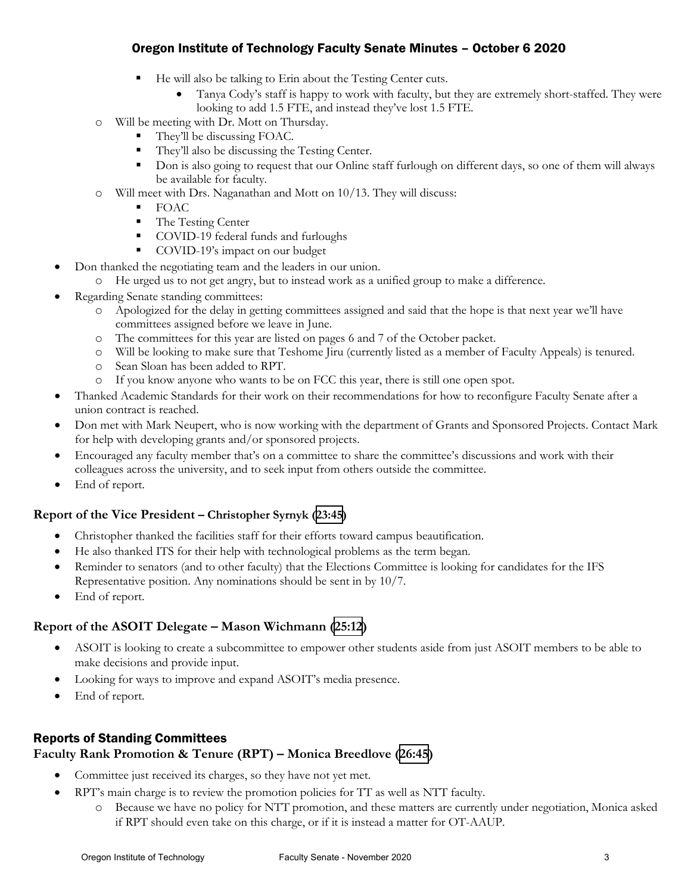- He will also be talking to Erin about the Testing Center cuts.
	- Tanya Cody's staff is happy to work with faculty, but they are extremely short-staffed. They were looking to add 1.5 FTE, and instead they've lost 1.5 FTE.
- o Will be meeting with Dr. Mott on Thursday.
	- They'll be discussing FOAC.
	- They'll also be discussing the Testing Center.
	- Don is also going to request that our Online staff furlough on different days, so one of them will always be available for faculty.
- Will meet with Drs. Naganathan and Mott on 10/13. They will discuss:
	- $\blacksquare$  FOAC
	- The Testing Center
	- COVID-19 federal funds and furloughs
	- COVID-19's impact on our budget
- Don thanked the negotiating team and the leaders in our union.
	- o He urged us to not get angry, but to instead work as a unified group to make a difference.
- Regarding Senate standing committees:
	- o Apologized for the delay in getting committees assigned and said that the hope is that next year we'll have committees assigned before we leave in June.
	- o The committees for this year are listed on pages 6 and 7 of the October packet.
	- o Will be looking to make sure that Teshome Jiru (currently listed as a member of Faculty Appeals) is tenured.
	- o Sean Sloan has been added to RPT.
	- o If you know anyone who wants to be on FCC this year, there is still one open spot.
- Thanked Academic Standards for their work on their recommendations for how to reconfigure Faculty Senate after a union contract is reached.
- Don met with Mark Neupert, who is now working with the department of Grants and Sponsored Projects. Contact Mark for help with developing grants and/or sponsored projects.
- Encouraged any faculty member that's on a committee to share the committee's discussions and work with their colleagues across the university, and to seek input from others outside the committee.
- End of report.

## **Report of the Vice President – Christopher Syrnyk [\(23:45\)](https://youtu.be/lBT2oYGpQ_c?t=1424)**

- Christopher thanked the facilities staff for their efforts toward campus beautification.
- He also thanked ITS for their help with technological problems as the term began.
- Reminder to senators (and to other faculty) that the Elections Committee is looking for candidates for the IFS Representative position. Any nominations should be sent in by 10/7.
- End of report.

## **Report of the ASOIT Delegate – Mason Wichmann [\(25:12](https://youtu.be/lBT2oYGpQ_c?t=1515))**

- ASOIT is looking to create a subcommittee to empower other students aside from just ASOIT members to be able to make decisions and provide input.
- Looking for ways to improve and expand ASOIT's media presence.
- End of report.

# Reports of Standing Committees

## **Faculty Rank Promotion & Tenure (RPT) – Monica Breedlove [\(26:45\)](https://youtu.be/lBT2oYGpQ_c?t=1605)**

- Committee just received its charges, so they have not yet met.
- RPT's main charge is to review the promotion policies for TT as well as NTT faculty.
	- o Because we have no policy for NTT promotion, and these matters are currently under negotiation, Monica asked if RPT should even take on this charge, or if it is instead a matter for OT-AAUP.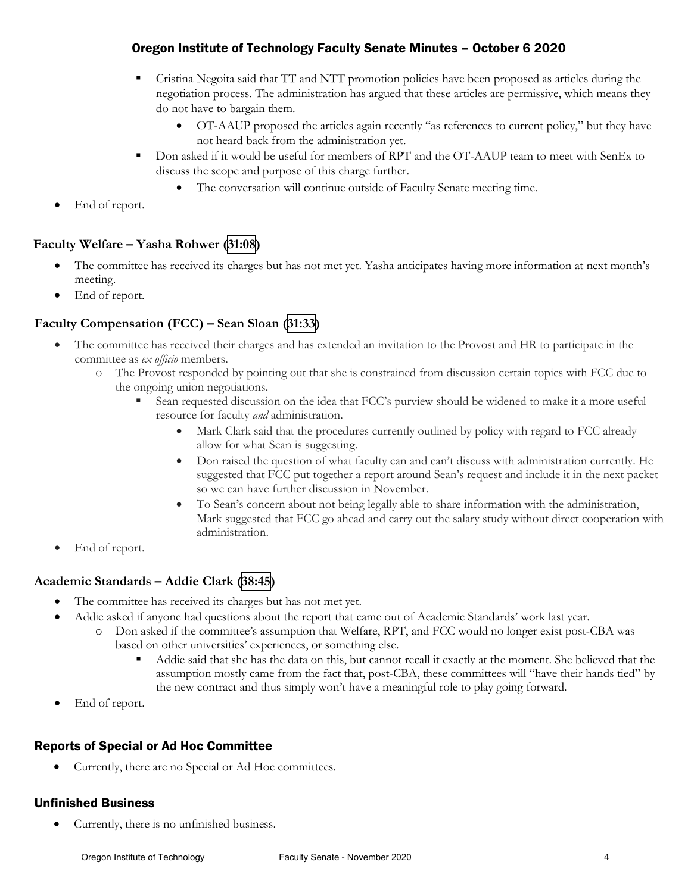- Cristina Negoita said that TT and NTT promotion policies have been proposed as articles during the negotiation process. The administration has argued that these articles are permissive, which means they do not have to bargain them.
	- OT-AAUP proposed the articles again recently "as references to current policy," but they have not heard back from the administration yet.
- Don asked if it would be useful for members of RPT and the OT-AAUP team to meet with SenEx to discuss the scope and purpose of this charge further.
	- The conversation will continue outside of Faculty Senate meeting time.
- End of report.

## **Faculty Welfare – Yasha Rohwer ([31:08\)](https://youtu.be/lBT2oYGpQ_c?t=1867)**

- The committee has received its charges but has not met yet. Yasha anticipates having more information at next month's meeting.
- End of report.

## **Faculty Compensation (FCC) – Sean Sloan ([31:33](https://youtu.be/lBT2oYGpQ_c?t=1892))**

- The committee has received their charges and has extended an invitation to the Provost and HR to participate in the committee as *ex officio* members.
	- o The Provost responded by pointing out that she is constrained from discussion certain topics with FCC due to the ongoing union negotiations.
		- Sean requested discussion on the idea that FCC's purview should be widened to make it a more useful resource for faculty *and* administration.
			- Mark Clark said that the procedures currently outlined by policy with regard to FCC already allow for what Sean is suggesting.
			- Don raised the question of what faculty can and can't discuss with administration currently. He suggested that FCC put together a report around Sean's request and include it in the next packet so we can have further discussion in November.
			- To Sean's concern about not being legally able to share information with the administration, Mark suggested that FCC go ahead and carry out the salary study without direct cooperation with administration.
- End of report.

## **Academic Standards – Addie Clark [\(38:45\)](https://youtu.be/lBT2oYGpQ_c?t=2324)**

- The committee has received its charges but has not met yet.
- Addie asked if anyone had questions about the report that came out of Academic Standards' work last year.
	- o Don asked if the committee's assumption that Welfare, RPT, and FCC would no longer exist post-CBA was based on other universities' experiences, or something else.
		- Addie said that she has the data on this, but cannot recall it exactly at the moment. She believed that the assumption mostly came from the fact that, post-CBA, these committees will "have their hands tied" by the new contract and thus simply won't have a meaningful role to play going forward.
- End of report.

# Reports of Special or Ad Hoc Committee

• Currently, there are no Special or Ad Hoc committees.

# Unfinished Business

• Currently, there is no unfinished business.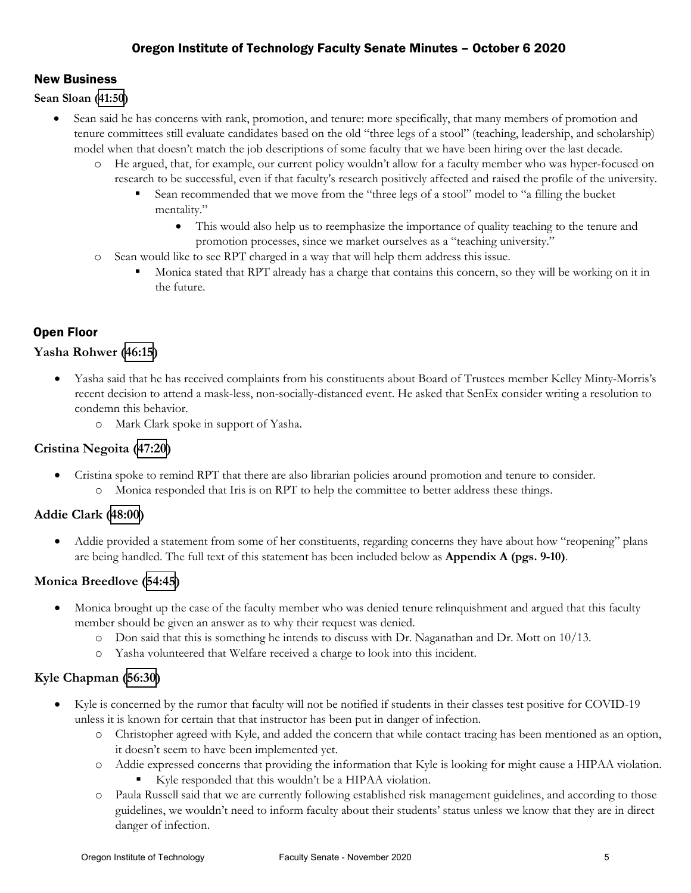# New Business

#### **Sean Sloan [\(41:50](https://youtu.be/lBT2oYGpQ_c?t=2510))**

- Sean said he has concerns with rank, promotion, and tenure: more specifically, that many members of promotion and tenure committees still evaluate candidates based on the old "three legs of a stool" (teaching, leadership, and scholarship) model when that doesn't match the job descriptions of some faculty that we have been hiring over the last decade.
	- He argued, that, for example, our current policy wouldn't allow for a faculty member who was hyper-focused on research to be successful, even if that faculty's research positively affected and raised the profile of the university.
		- Sean recommended that we move from the "three legs of a stool" model to "a filling the bucket mentality."
			- This would also help us to reemphasize the importance of quality teaching to the tenure and promotion processes, since we market ourselves as a "teaching university."
	- o Sean would like to see RPT charged in a way that will help them address this issue.
		- Monica stated that RPT already has a charge that contains this concern, so they will be working on it in the future.

# Open Floor

## **Yasha Rohwer [\(46:15\)](https://youtu.be/lBT2oYGpQ_c?t=2777)**

- Yasha said that he has received complaints from his constituents about Board of Trustees member Kelley Minty-Morris's recent decision to attend a mask-less, non-socially-distanced event. He asked that SenEx consider writing a resolution to condemn this behavior.
	- o Mark Clark spoke in support of Yasha.

## **Cristina Negoita ([47:20\)](https://youtu.be/lBT2oYGpQ_c?t=2842)**

- Cristina spoke to remind RPT that there are also librarian policies around promotion and tenure to consider.
	- o Monica responded that Iris is on RPT to help the committee to better address these things.

## **Addie Clark [\(48:00\)](https://youtu.be/lBT2oYGpQ_c?t=2882)**

• Addie provided a statement from some of her constituents, regarding concerns they have about how "reopening" plans are being handled. The full text of this statement has been included below as **Appendix A (pgs. 9-10)**.

## **Monica Breedlove ([54:45](https://youtu.be/lBT2oYGpQ_c?t=3285))**

- Monica brought up the case of the faculty member who was denied tenure relinquishment and argued that this faculty member should be given an answer as to why their request was denied.
	- o Don said that this is something he intends to discuss with Dr. Naganathan and Dr. Mott on 10/13.
	- o Yasha volunteered that Welfare received a charge to look into this incident.

## **Kyle Chapman ([56:30](https://youtu.be/lBT2oYGpQ_c?t=3390))**

- Kyle is concerned by the rumor that faculty will not be notified if students in their classes test positive for COVID-19 unless it is known for certain that that instructor has been put in danger of infection.
	- o Christopher agreed with Kyle, and added the concern that while contact tracing has been mentioned as an option, it doesn't seem to have been implemented yet.
	- o Addie expressed concerns that providing the information that Kyle is looking for might cause a HIPAA violation. Kyle responded that this wouldn't be a HIPAA violation.
	- o Paula Russell said that we are currently following established risk management guidelines, and according to those guidelines, we wouldn't need to inform faculty about their students' status unless we know that they are in direct danger of infection.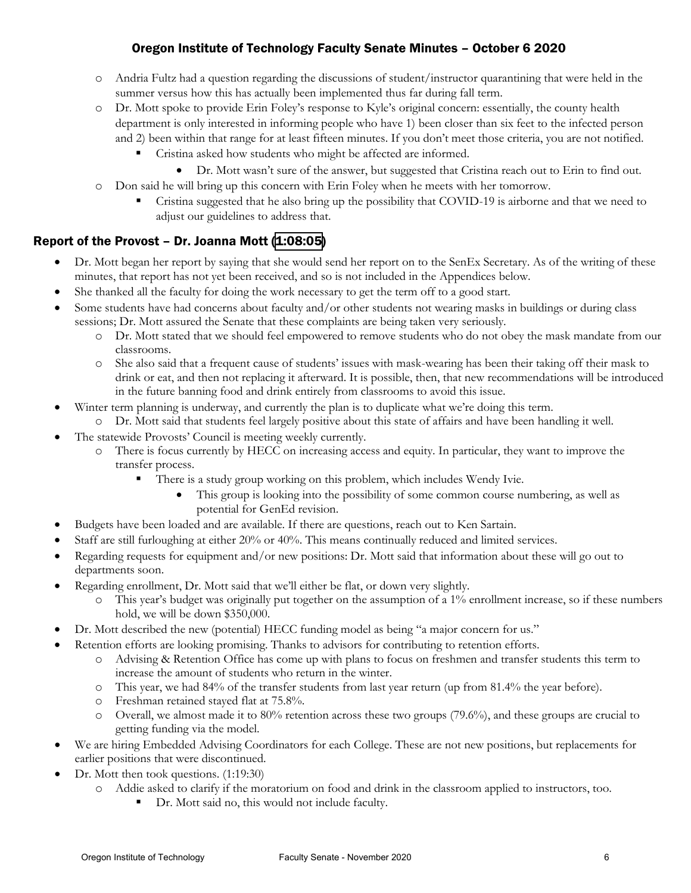- o Andria Fultz had a question regarding the discussions of student/instructor quarantining that were held in the summer versus how this has actually been implemented thus far during fall term.
- o Dr. Mott spoke to provide Erin Foley's response to Kyle's original concern: essentially, the county health department is only interested in informing people who have 1) been closer than six feet to the infected person and 2) been within that range for at least fifteen minutes. If you don't meet those criteria, you are not notified.
	- Cristina asked how students who might be affected are informed.
		- Dr. Mott wasn't sure of the answer, but suggested that Cristina reach out to Erin to find out.
- o Don said he will bring up this concern with Erin Foley when he meets with her tomorrow.
	- Cristina suggested that he also bring up the possibility that COVID-19 is airborne and that we need to adjust our guidelines to address that.

## Report of the Provost - Dr. Joanna Mott [\(1:08:05](https://youtu.be/lBT2oYGpQ_c?t=4088))

- Dr. Mott began her report by saying that she would send her report on to the SenEx Secretary. As of the writing of these minutes, that report has not yet been received, and so is not included in the Appendices below.
- She thanked all the faculty for doing the work necessary to get the term off to a good start.
- Some students have had concerns about faculty and/or other students not wearing masks in buildings or during class sessions; Dr. Mott assured the Senate that these complaints are being taken very seriously.
	- o Dr. Mott stated that we should feel empowered to remove students who do not obey the mask mandate from our classrooms.
	- o She also said that a frequent cause of students' issues with mask-wearing has been their taking off their mask to drink or eat, and then not replacing it afterward. It is possible, then, that new recommendations will be introduced in the future banning food and drink entirely from classrooms to avoid this issue.
- Winter term planning is underway, and currently the plan is to duplicate what we're doing this term.
	- o Dr. Mott said that students feel largely positive about this state of affairs and have been handling it well.
- The statewide Provosts' Council is meeting weekly currently.
	- o There is focus currently by HECC on increasing access and equity. In particular, they want to improve the transfer process.
		- There is a study group working on this problem, which includes Wendy Ivie.
			- This group is looking into the possibility of some common course numbering, as well as potential for GenEd revision.
- Budgets have been loaded and are available. If there are questions, reach out to Ken Sartain.
- Staff are still furloughing at either 20% or 40%. This means continually reduced and limited services.
- Regarding requests for equipment and/or new positions: Dr. Mott said that information about these will go out to departments soon.
- Regarding enrollment, Dr. Mott said that we'll either be flat, or down very slightly.
	- This year's budget was originally put together on the assumption of a 1% enrollment increase, so if these numbers hold, we will be down \$350,000.
- Dr. Mott described the new (potential) HECC funding model as being "a major concern for us."
	- Retention efforts are looking promising. Thanks to advisors for contributing to retention efforts.
		- o Advising & Retention Office has come up with plans to focus on freshmen and transfer students this term to increase the amount of students who return in the winter.
		- o This year, we had 84% of the transfer students from last year return (up from 81.4% the year before).
		- o Freshman retained stayed flat at 75.8%.
		- o Overall, we almost made it to 80% retention across these two groups (79.6%), and these groups are crucial to getting funding via the model.
- We are hiring Embedded Advising Coordinators for each College. These are not new positions, but replacements for earlier positions that were discontinued.
- Dr. Mott then took questions. (1:19:30)
	- Addie asked to clarify if the moratorium on food and drink in the classroom applied to instructors, too.
		- Dr. Mott said no, this would not include faculty.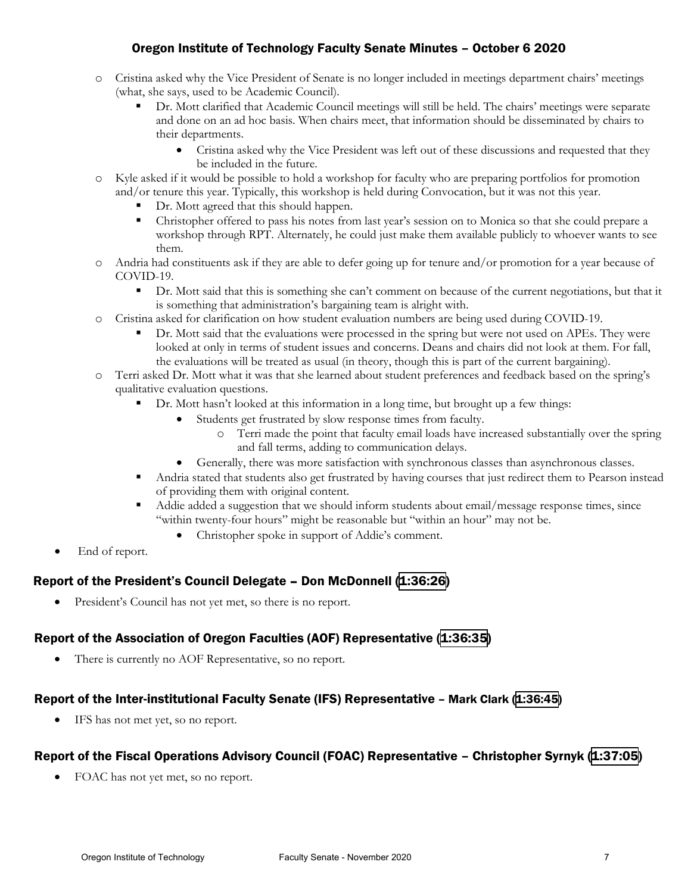- o Cristina asked why the Vice President of Senate is no longer included in meetings department chairs' meetings (what, she says, used to be Academic Council).
	- Dr. Mott clarified that Academic Council meetings will still be held. The chairs' meetings were separate and done on an ad hoc basis. When chairs meet, that information should be disseminated by chairs to their departments.
		- Cristina asked why the Vice President was left out of these discussions and requested that they be included in the future.
- o Kyle asked if it would be possible to hold a workshop for faculty who are preparing portfolios for promotion and/or tenure this year. Typically, this workshop is held during Convocation, but it was not this year.
	- Dr. Mott agreed that this should happen.
	- Christopher offered to pass his notes from last year's session on to Monica so that she could prepare a workshop through RPT. Alternately, he could just make them available publicly to whoever wants to see them.
- o Andria had constituents ask if they are able to defer going up for tenure and/or promotion for a year because of COVID-19.
	- **•** Dr. Mott said that this is something she can't comment on because of the current negotiations, but that it is something that administration's bargaining team is alright with.
- o Cristina asked for clarification on how student evaluation numbers are being used during COVID-19.
	- Dr. Mott said that the evaluations were processed in the spring but were not used on APEs. They were looked at only in terms of student issues and concerns. Deans and chairs did not look at them. For fall, the evaluations will be treated as usual (in theory, though this is part of the current bargaining).
- o Terri asked Dr. Mott what it was that she learned about student preferences and feedback based on the spring's qualitative evaluation questions.
	- Dr. Mott hasn't looked at this information in a long time, but brought up a few things:
		- Students get frustrated by slow response times from faculty.
			- o Terri made the point that faculty email loads have increased substantially over the spring and fall terms, adding to communication delays.
		- Generally, there was more satisfaction with synchronous classes than asynchronous classes.
	- Andria stated that students also get frustrated by having courses that just redirect them to Pearson instead of providing them with original content.
	- Addie added a suggestion that we should inform students about email/message response times, since "within twenty-four hours" might be reasonable but "within an hour" may not be.
		- Christopher spoke in support of Addie's comment.
- End of report.

# Report of the President's Council Delegate – Don McDonnell ([1:36:26](https://youtu.be/lBT2oYGpQ_c?t=5782))

• President's Council has not yet met, so there is no report.

# Report of the Association of Oregon Faculties (AOF) Representative [\(1:36:35\)](https://youtu.be/lBT2oYGpQ_c?t=5792)

There is currently no AOF Representative, so no report.

## Report of the Inter-institutional Faculty Senate (IFS) Representative – Mark Clark [\(1:36:45\)](https://youtu.be/lBT2oYGpQ_c?t=5802)

IFS has not met yet, so no report.

## Report of the Fiscal Operations Advisory Council (FOAC) Representative – Christopher Syrnyk [\(1:37:05\)](https://youtu.be/lBT2oYGpQ_c?t=5827)

• FOAC has not yet met, so no report.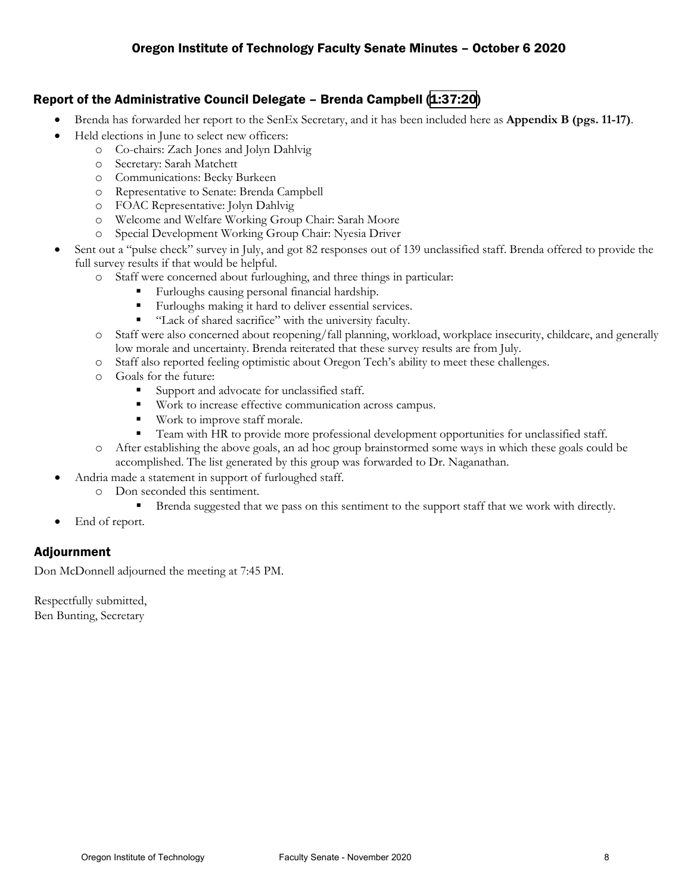## Report of the Administrative Council Delegate – Brenda Campbell [\(1:37:20\)](https://youtu.be/lBT2oYGpQ_c?t=5842)

- Brenda has forwarded her report to the SenEx Secretary, and it has been included here as **Appendix B (pgs. 11-17)**.
- Held elections in June to select new officers:
	- o Co-chairs: Zach Jones and Jolyn Dahlvig
	- o Secretary: Sarah Matchett
	- o Communications: Becky Burkeen
	- o Representative to Senate: Brenda Campbell
	- o FOAC Representative: Jolyn Dahlvig
	- o Welcome and Welfare Working Group Chair: Sarah Moore
	- o Special Development Working Group Chair: Nyesia Driver
- Sent out a "pulse check" survey in July, and got 82 responses out of 139 unclassified staff. Brenda offered to provide the full survey results if that would be helpful.
	- o Staff were concerned about furloughing, and three things in particular:
		- Furloughs causing personal financial hardship.
		- Furloughs making it hard to deliver essential services.
		- "Lack of shared sacrifice" with the university faculty.
	- o Staff were also concerned about reopening/fall planning, workload, workplace insecurity, childcare, and generally low morale and uncertainty. Brenda reiterated that these survey results are from July.
	- o Staff also reported feeling optimistic about Oregon Tech's ability to meet these challenges.
	- o Goals for the future:
		- Support and advocate for unclassified staff.
		- **Work to increase effective communication across campus.**
		- Work to improve staff morale.
		- Team with HR to provide more professional development opportunities for unclassified staff.
	- o After establishing the above goals, an ad hoc group brainstormed some ways in which these goals could be accomplished. The list generated by this group was forwarded to Dr. Naganathan.
- Andria made a statement in support of furloughed staff.
	- o Don seconded this sentiment.
		- Brenda suggested that we pass on this sentiment to the support staff that we work with directly.
- End of report.

## Adjournment

Don McDonnell adjourned the meeting at 7:45 PM.

Respectfully submitted, Ben Bunting, Secretary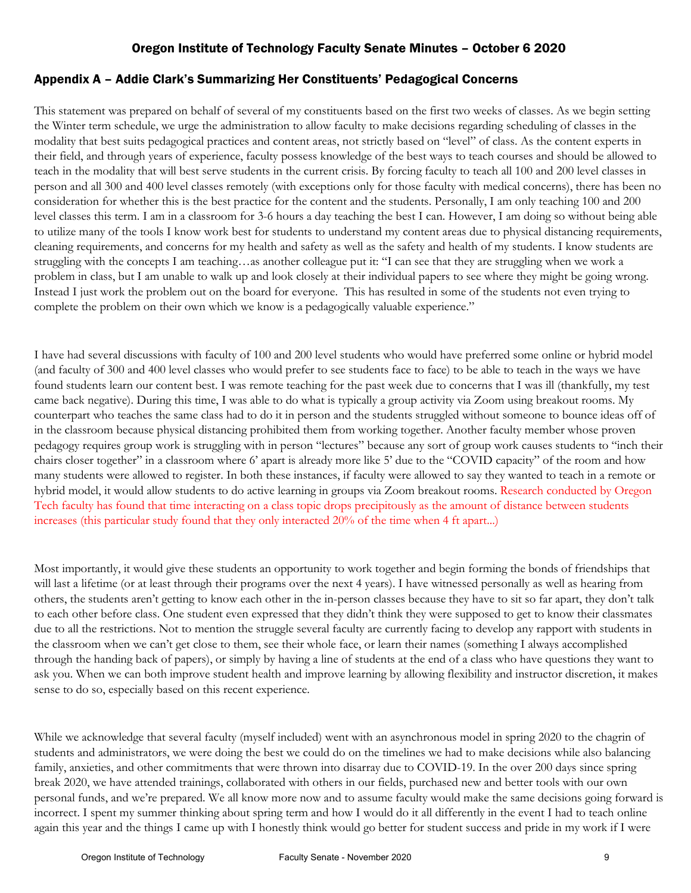# Appendix A – Addie Clark's Summarizing Her Constituents' Pedagogical Concerns

This statement was prepared on behalf of several of my constituents based on the first two weeks of classes. As we begin setting the Winter term schedule, we urge the administration to allow faculty to make decisions regarding scheduling of classes in the modality that best suits pedagogical practices and content areas, not strictly based on "level" of class. As the content experts in their field, and through years of experience, faculty possess knowledge of the best ways to teach courses and should be allowed to teach in the modality that will best serve students in the current crisis. By forcing faculty to teach all 100 and 200 level classes in person and all 300 and 400 level classes remotely (with exceptions only for those faculty with medical concerns), there has been no consideration for whether this is the best practice for the content and the students. Personally, I am only teaching 100 and 200 level classes this term. I am in a classroom for 3-6 hours a day teaching the best I can. However, I am doing so without being able to utilize many of the tools I know work best for students to understand my content areas due to physical distancing requirements, cleaning requirements, and concerns for my health and safety as well as the safety and health of my students. I know students are struggling with the concepts I am teaching…as another colleague put it: "I can see that they are struggling when we work a problem in class, but I am unable to walk up and look closely at their individual papers to see where they might be going wrong. Instead I just work the problem out on the board for everyone. This has resulted in some of the students not even trying to complete the problem on their own which we know is a pedagogically valuable experience."

I have had several discussions with faculty of 100 and 200 level students who would have preferred some online or hybrid model (and faculty of 300 and 400 level classes who would prefer to see students face to face) to be able to teach in the ways we have found students learn our content best. I was remote teaching for the past week due to concerns that I was ill (thankfully, my test came back negative). During this time, I was able to do what is typically a group activity via Zoom using breakout rooms. My counterpart who teaches the same class had to do it in person and the students struggled without someone to bounce ideas off of in the classroom because physical distancing prohibited them from working together. Another faculty member whose proven pedagogy requires group work is struggling with in person "lectures" because any sort of group work causes students to "inch their chairs closer together" in a classroom where 6' apart is already more like 5' due to the "COVID capacity" of the room and how many students were allowed to register. In both these instances, if faculty were allowed to say they wanted to teach in a remote or hybrid model, it would allow students to do active learning in groups via Zoom breakout rooms. Research conducted by Oregon Tech faculty has found that time interacting on a class topic drops precipitously as the amount of distance between students increases (this particular study found that they only interacted 20% of the time when 4 ft apart...)

Most importantly, it would give these students an opportunity to work together and begin forming the bonds of friendships that will last a lifetime (or at least through their programs over the next 4 years). I have witnessed personally as well as hearing from others, the students aren't getting to know each other in the in-person classes because they have to sit so far apart, they don't talk to each other before class. One student even expressed that they didn't think they were supposed to get to know their classmates due to all the restrictions. Not to mention the struggle several faculty are currently facing to develop any rapport with students in the classroom when we can't get close to them, see their whole face, or learn their names (something I always accomplished through the handing back of papers), or simply by having a line of students at the end of a class who have questions they want to ask you. When we can both improve student health and improve learning by allowing flexibility and instructor discretion, it makes sense to do so, especially based on this recent experience.

While we acknowledge that several faculty (myself included) went with an asynchronous model in spring 2020 to the chagrin of students and administrators, we were doing the best we could do on the timelines we had to make decisions while also balancing family, anxieties, and other commitments that were thrown into disarray due to COVID-19. In the over 200 days since spring break 2020, we have attended trainings, collaborated with others in our fields, purchased new and better tools with our own personal funds, and we're prepared. We all know more now and to assume faculty would make the same decisions going forward is incorrect. I spent my summer thinking about spring term and how I would do it all differently in the event I had to teach online again this year and the things I came up with I honestly think would go better for student success and pride in my work if I were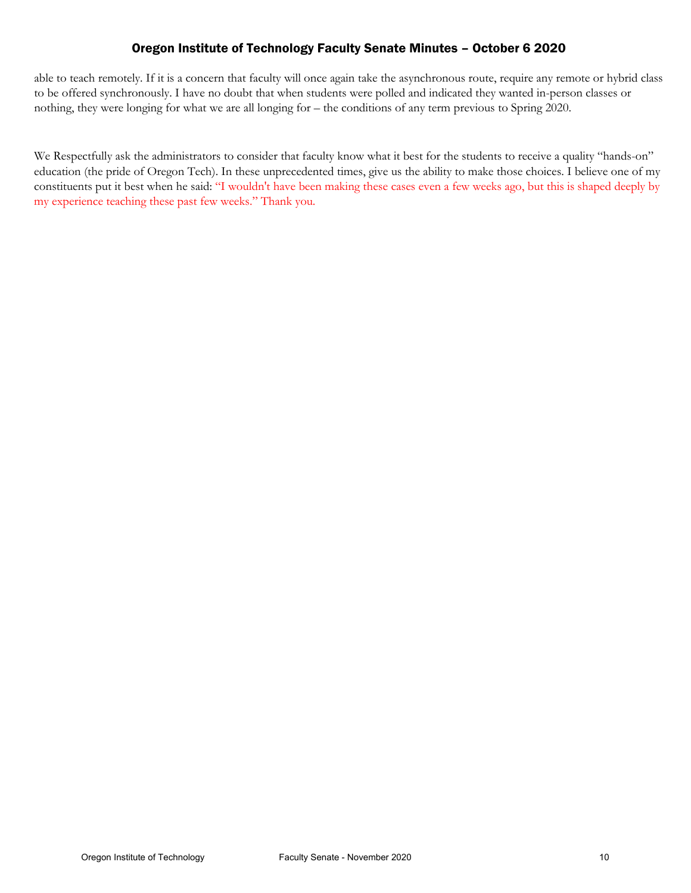able to teach remotely. If it is a concern that faculty will once again take the asynchronous route, require any remote or hybrid class to be offered synchronously. I have no doubt that when students were polled and indicated they wanted in-person classes or nothing, they were longing for what we are all longing for – the conditions of any term previous to Spring 2020.

We Respectfully ask the administrators to consider that faculty know what it best for the students to receive a quality "hands-on" education (the pride of Oregon Tech). In these unprecedented times, give us the ability to make those choices. I believe one of my constituents put it best when he said: "I wouldn't have been making these cases even a few weeks ago, but this is shaped deeply by my experience teaching these past few weeks." Thank you.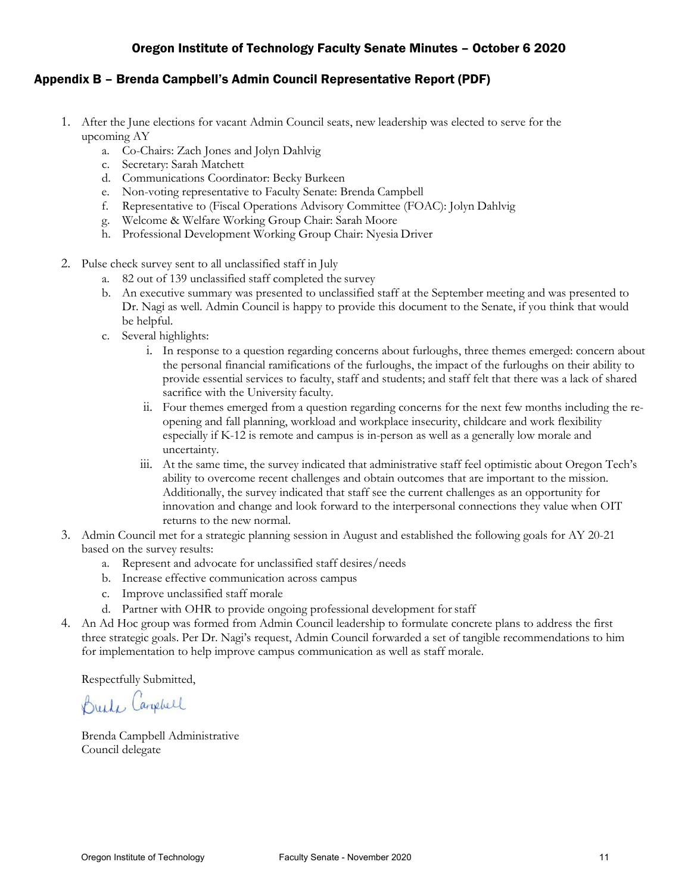#### Appendix B – Brenda Campbell's Admin Council Representative Report (PDF)

- 1. After the June elections for vacant Admin Council seats, new leadership was elected to serve for the upcoming AY
	- a. Co-Chairs: Zach Jones and Jolyn Dahlvig
	- c. Secretary: Sarah Matchett
	- d. Communications Coordinator: Becky Burkeen
	- e. Non-voting representative to Faculty Senate: Brenda Campbell
	- f. Representative to (Fiscal Operations Advisory Committee (FOAC): Jolyn Dahlvig
	- g. Welcome & Welfare Working Group Chair: Sarah Moore
	- h. Professional Development Working Group Chair: Nyesia Driver
- 2. Pulse check survey sent to all unclassified staff in July
	- a. 82 out of 139 unclassified staff completed the survey
	- b. An executive summary was presented to unclassified staff at the September meeting and was presented to Dr. Nagi as well. Admin Council is happy to provide this document to the Senate, if you think that would be helpful.
	- c. Several highlights:
		- i. In response to a question regarding concerns about furloughs, three themes emerged: concern about the personal financial ramifications of the furloughs, the impact of the furloughs on their ability to provide essential services to faculty, staff and students; and staff felt that there was a lack of shared sacrifice with the University faculty.
		- ii. Four themes emerged from a question regarding concerns for the next few months including the reopening and fall planning, workload and workplace insecurity, childcare and work flexibility especially if K-12 is remote and campus is in-person as well as a generally low morale and uncertainty.
		- iii. At the same time, the survey indicated that administrative staff feel optimistic about Oregon Tech's ability to overcome recent challenges and obtain outcomes that are important to the mission. Additionally, the survey indicated that staff see the current challenges as an opportunity for innovation and change and look forward to the interpersonal connections they value when OIT returns to the new normal.
- 3. Admin Council met for a strategic planning session in August and established the following goals for AY 20-21 based on the survey results:
	- a. Represent and advocate for unclassified staff desires/needs
	- b. Increase effective communication across campus
	- c. Improve unclassified staff morale
	- d. Partner with OHR to provide ongoing professional development for staff
- 4. An Ad Hoc group was formed from Admin Council leadership to formulate concrete plans to address the first three strategic goals. Per Dr. Nagi's request, Admin Council forwarded a set of tangible recommendations to him for implementation to help improve campus communication as well as staff morale.

Respectfully Submitted,

Break Campbell

Brenda Campbell Administrative Council delegate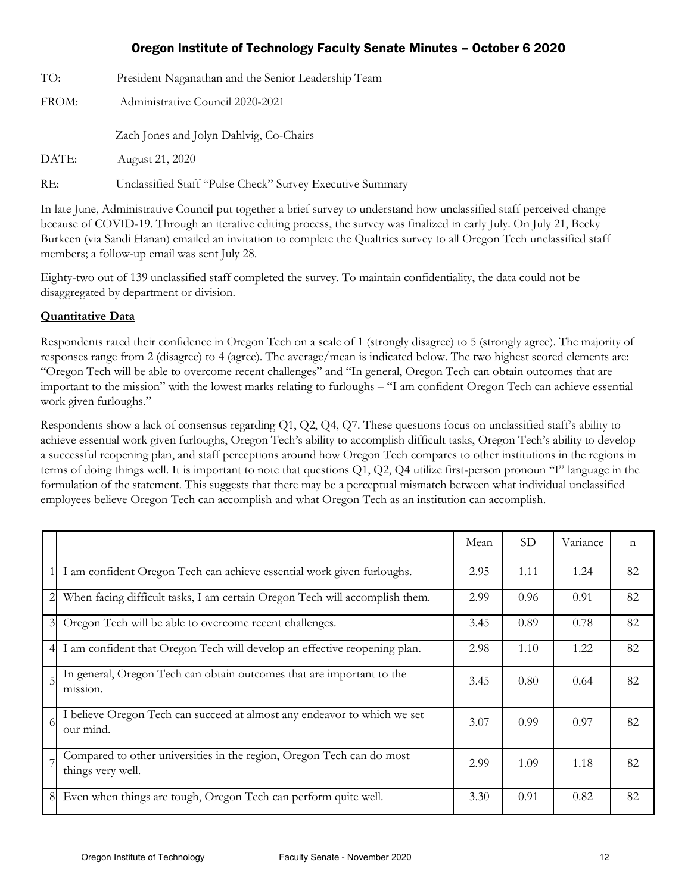| TO:   | President Naganathan and the Senior Leadership Team       |  |  |
|-------|-----------------------------------------------------------|--|--|
| FROM: | Administrative Council 2020-2021                          |  |  |
|       | Zach Jones and Jolyn Dahlvig, Co-Chairs                   |  |  |
| DATE: | August 21, 2020                                           |  |  |
| RE:   | Unclassified Staff "Pulse Check" Survey Executive Summary |  |  |

In late June, Administrative Council put together a brief survey to understand how unclassified staff perceived change because of COVID-19. Through an iterative editing process, the survey was finalized in early July. On July 21, Becky Burkeen (via Sandi Hanan) emailed an invitation to complete the Qualtrics survey to all Oregon Tech unclassified staff members; a follow-up email was sent July 28.

Eighty-two out of 139 unclassified staff completed the survey. To maintain confidentiality, the data could not be disaggregated by department or division.

#### **Quantitative Data**

Respondents rated their confidence in Oregon Tech on a scale of 1 (strongly disagree) to 5 (strongly agree). The majority of responses range from 2 (disagree) to 4 (agree). The average/mean is indicated below. The two highest scored elements are: "Oregon Tech will be able to overcome recent challenges" and "In general, Oregon Tech can obtain outcomes that are important to the mission" with the lowest marks relating to furloughs – "I am confident Oregon Tech can achieve essential work given furloughs."

Respondents show a lack of consensus regarding Q1, Q2, Q4, Q7. These questions focus on unclassified staff's ability to achieve essential work given furloughs, Oregon Tech's ability to accomplish difficult tasks, Oregon Tech's ability to develop a successful reopening plan, and staff perceptions around how Oregon Tech compares to other institutions in the regions in terms of doing things well. It is important to note that questions Q1, Q2, Q4 utilize first-person pronoun "I" language in the formulation of the statement. This suggests that there may be a perceptual mismatch between what individual unclassified employees believe Oregon Tech can accomplish and what Oregon Tech as an institution can accomplish.

|                |                                                                                            | Mean | <b>SD</b> | Variance | $\mathbf n$ |
|----------------|--------------------------------------------------------------------------------------------|------|-----------|----------|-------------|
|                | I am confident Oregon Tech can achieve essential work given furloughs.                     | 2.95 | 1.11      | 1.24     | 82          |
|                | When facing difficult tasks, I am certain Oregon Tech will accomplish them.                | 2.99 | 0.96      | 0.91     | 82          |
| $\mathfrak{Z}$ | Oregon Tech will be able to overcome recent challenges.                                    | 3.45 | 0.89      | 0.78     | 82          |
|                | I am confident that Oregon Tech will develop an effective reopening plan.                  | 2.98 | 1.10      | 1.22     | 82          |
|                | In general, Oregon Tech can obtain outcomes that are important to the<br>mission.          | 3.45 | 0.80      | 0.64     | 82          |
| $\Omega$       | I believe Oregon Tech can succeed at almost any endeavor to which we set<br>our mind.      | 3.07 | 0.99      | 0.97     | 82          |
|                | Compared to other universities in the region, Oregon Tech can do most<br>things very well. | 2.99 | 1.09      | 1.18     | 82          |
| 8              | Even when things are tough, Oregon Tech can perform quite well.                            | 3.30 | 0.91      | 0.82     | 82          |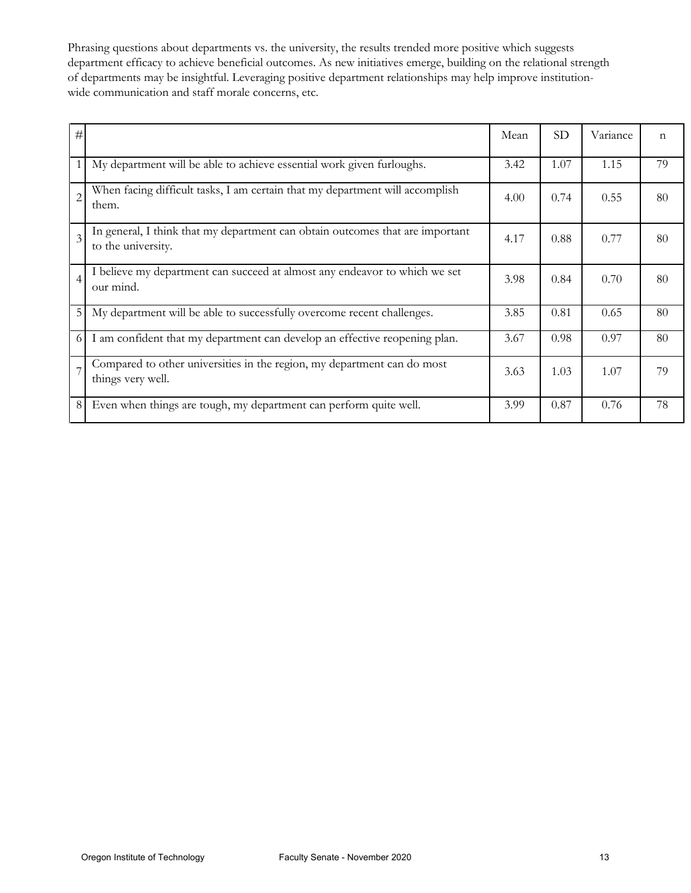Phrasing questions about departments vs. the university, the results trended more positive which suggests department efficacy to achieve beneficial outcomes. As new initiatives emerge, building on the relational strength of departments may be insightful. Leveraging positive department relationships may help improve institutionwide communication and staff morale concerns, etc.

| #              |                                                                                                     | Mean | SD   | Variance | $\mathsf{n}$ |
|----------------|-----------------------------------------------------------------------------------------------------|------|------|----------|--------------|
| 1              | My department will be able to achieve essential work given furloughs.                               | 3.42 | 1.07 | 1.15     | 79           |
| $\overline{c}$ | When facing difficult tasks, I am certain that my department will accomplish<br>them.               | 4.00 | 0.74 | 0.55     | 80           |
| $\overline{3}$ | In general, I think that my department can obtain outcomes that are important<br>to the university. | 4.17 | 0.88 | 0.77     | 80           |
| $\overline{4}$ | I believe my department can succeed at almost any endeavor to which we set<br>our mind.             | 3.98 | 0.84 | 0.70     | 80           |
| 5              | My department will be able to successfully overcome recent challenges.                              | 3.85 | 0.81 | 0.65     | 80           |
| 6              | I am confident that my department can develop an effective reopening plan.                          | 3.67 | 0.98 | 0.97     | 80           |
|                | Compared to other universities in the region, my department can do most<br>things very well.        | 3.63 | 1.03 | 1.07     | 79           |
| 8              | Even when things are tough, my department can perform quite well.                                   | 3.99 | 0.87 | 0.76     | 78           |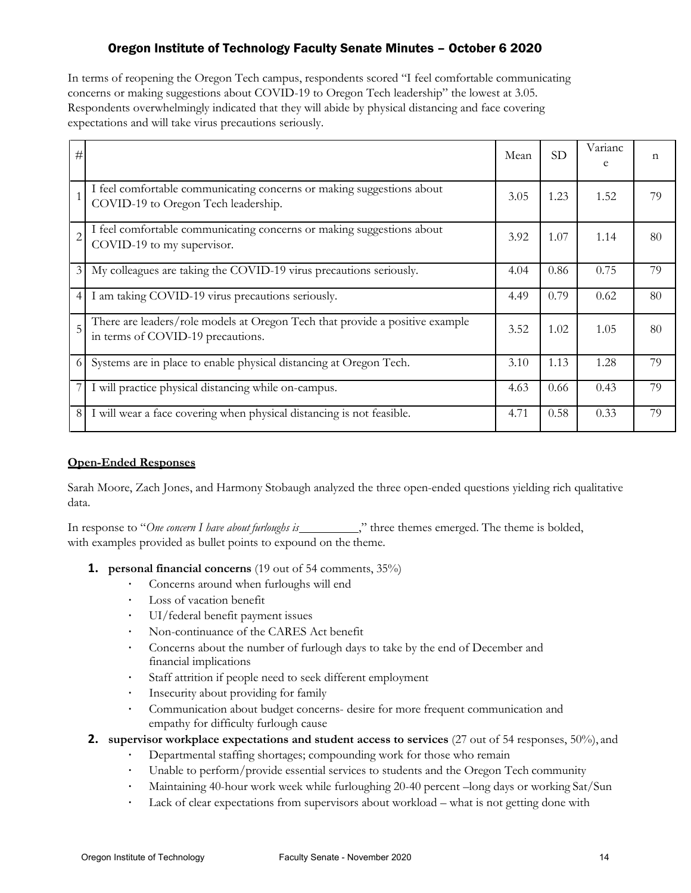In terms of reopening the Oregon Tech campus, respondents scored "I feel comfortable communicating concerns or making suggestions about COVID-19 to Oregon Tech leadership" the lowest at 3.05. Respondents overwhelmingly indicated that they will abide by physical distancing and face covering expectations and will take virus precautions seriously.

| #              |                                                                                                                   | Mean | <b>SD</b> | Varianc<br>e | n  |
|----------------|-------------------------------------------------------------------------------------------------------------------|------|-----------|--------------|----|
|                | I feel comfortable communicating concerns or making suggestions about<br>COVID-19 to Oregon Tech leadership.      | 3.05 | 1.23      | 1.52         | 79 |
| $\overline{c}$ | I feel comfortable communicating concerns or making suggestions about<br>COVID-19 to my supervisor.               | 3.92 | 1.07      | 1.14         | 80 |
| $\mathfrak{Z}$ | My colleagues are taking the COVID-19 virus precautions seriously.                                                | 4.04 | 0.86      | 0.75         | 79 |
| $\overline{4}$ | I am taking COVID-19 virus precautions seriously.                                                                 | 4.49 | 0.79      | 0.62         | 80 |
| 5              | There are leaders/role models at Oregon Tech that provide a positive example<br>in terms of COVID-19 precautions. | 3.52 | 1.02      | 1.05         | 80 |
| 6              | Systems are in place to enable physical distancing at Oregon Tech.                                                | 3.10 | 1.13      | 1.28         | 79 |
|                | I will practice physical distancing while on-campus.                                                              | 4.63 | 0.66      | 0.43         | 79 |
| 8              | I will wear a face covering when physical distancing is not feasible.                                             | 4.71 | 0.58      | 0.33         | 79 |

#### **Open-Ended Responses**

Sarah Moore, Zach Jones, and Harmony Stobaugh analyzed the three open-ended questions yielding rich qualitative data.

In response to "One concern I have about furloughs is \_\_\_\_\_\_\_\_\_\_\_," three themes emerged. The theme is bolded, with examples provided as bullet points to expound on the theme.

- **1. personal financial concerns** (19 out of 54 comments, 35%)
	- Concerns around when furloughs will end
	- · Loss of vacation benefit
	- · UI/federal benefit payment issues
	- Non-continuance of the CARES Act benefit<br>• Concerns about the number of furlough days
	- Concerns about the number of furlough days to take by the end of December and financial implications
	- Staff attrition if people need to seek different employment
	- · Insecurity about providing for family
	- Communication about budget concerns- desire for more frequent communication and empathy for difficulty furlough cause
- **2.** supervisor workplace expectations and student access to services (27 out of 54 responses, 50%), and
	- Departmental staffing shortages; compounding work for those who remain
	- · Unable to perform/provide essential services to students and the Oregon Tech community
	- Maintaining 40-hour work week while furloughing 20-40 percent –long days or working Sat/Sun
	- Lack of clear expectations from supervisors about workload what is not getting done with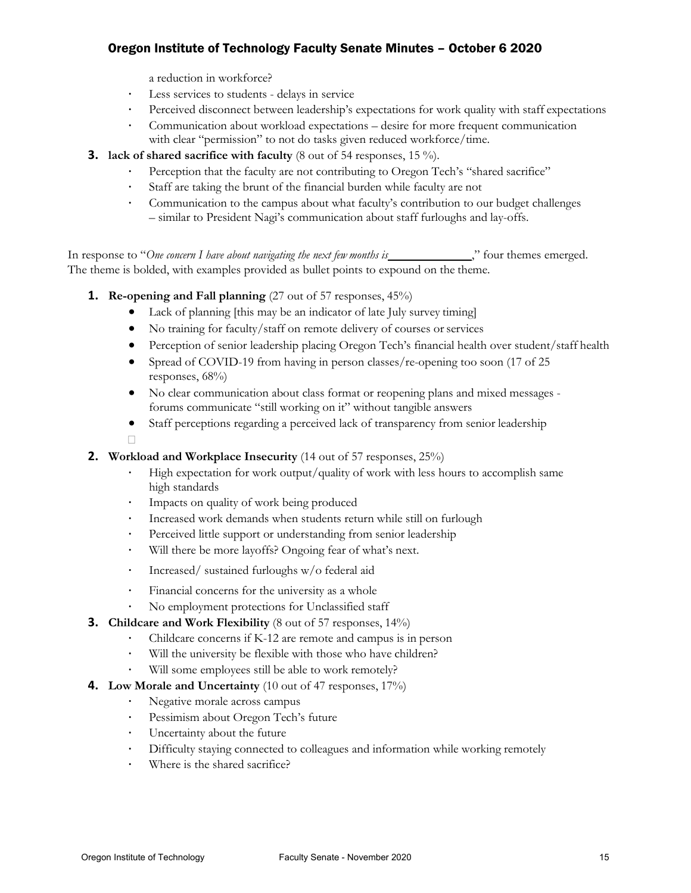a reduction in workforce?

- Less services to students delays in service
- · Perceived disconnect between leadership's expectations for work quality with staff expectations
- · Communication about workload expectations desire for more frequent communication with clear "permission" to not do tasks given reduced workforce/time.
- **3.** lack of shared sacrifice with faculty (8 out of 54 responses, 15 %).
	- Perception that the faculty are not contributing to Oregon Tech's "shared sacrifice"
	- Staff are taking the brunt of the financial burden while faculty are not
	- Communication to the campus about what faculty's contribution to our budget challenges – similar to President Nagi's communication about staff furloughs and lay-offs.

In response to "One concern I have about navigating the next few months is \_\_\_\_\_\_\_\_\_\_\_\_\_\_," four themes emerged. The theme is bolded, with examples provided as bullet points to expound on the theme.

- **1. Re-opening and Fall planning** (27 out of 57 responses, 45%)
	- Lack of planning [this may be an indicator of late July survey timing]
	- No training for faculty/staff on remote delivery of courses or services
	- Perception of senior leadership placing Oregon Tech's financial health over student/staff health
	- Spread of COVID-19 from having in person classes/re-opening too soon (17 of 25) responses, 68%)
	- No clear communication about class format or reopening plans and mixed messages forums communicate "still working on it" without tangible answers
	- Staff perceptions regarding a perceived lack of transparency from senior leadership  $\Box$

#### **2.** Workload and Workplace Insecurity (14 out of 57 responses, 25%)

- · High expectation for work output/quality of work with less hours to accomplish same high standards
- · Impacts on quality of work being produced
- Increased work demands when students return while still on furlough<br>• Perceived little support or understanding from senior leadership
- Perceived little support or understanding from senior leadership
- · Will there be more layoffs? Ongoing fear of what's next.
- · Increased/ sustained furloughs w/o federal aid
- · Financial concerns for the university as a whole
- No employment protections for Unclassified staff
- **3. Childcare and Work Flexibility** (8 out of 57 responses, 14%)
	- · Childcare concerns if K-12 are remote and campus is in person
	- Will the university be flexible with those who have children?
	- Will some employees still be able to work remotely?
- **4.** Low Morale and Uncertainty (10 out of 47 responses, 17%)
	- Negative morale across campus
	- · Pessimism about Oregon Tech's future
	- Uncertainty about the future
	- Difficulty staying connected to colleagues and information while working remotely
	- Where is the shared sacrifice?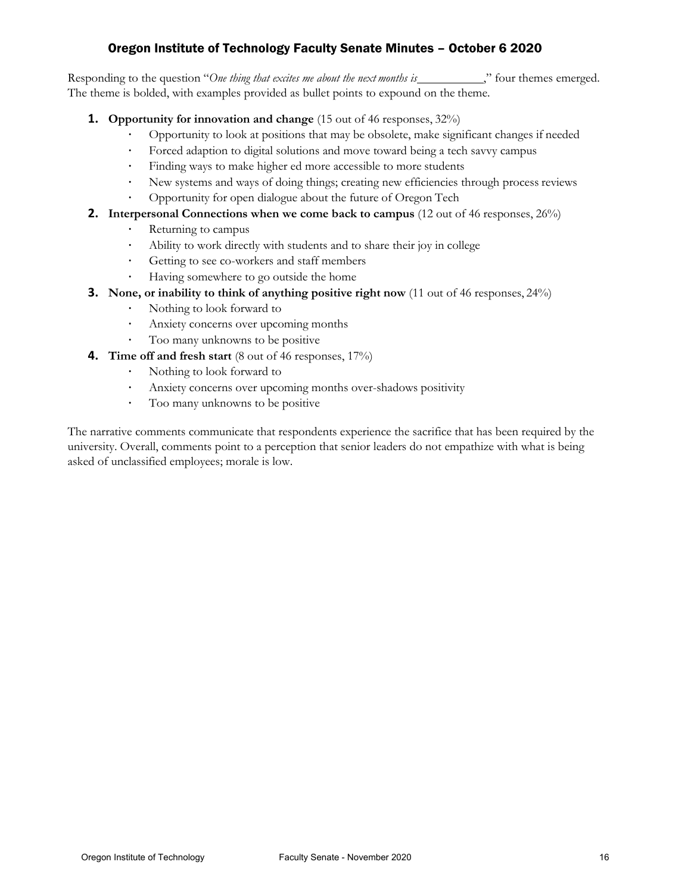Responding to the question "One thing that excites me about the next months is \_\_\_\_\_\_\_\_\_\_\_\_," four themes emerged. The theme is bolded, with examples provided as bullet points to expound on the theme.

- **1. Opportunity for innovation and change** (15 out of 46 responses, 32%)
	- Opportunity to look at positions that may be obsolete, make significant changes if needed<br>• Forced adaption to divital solutions and move toward being a tech sayyy campus
	- Forced adaption to digital solutions and move toward being a tech savvy campus<br>• Finding ways to make higher ed more accessible to more students
	- Finding ways to make higher ed more accessible to more students
	- · New systems and ways of doing things; creating new efficiencies through process reviews
	- · Opportunity for open dialogue about the future of Oregon Tech
- **2. Interpersonal Connections when we come back to campus** (12 out of 46 responses, 26%)
	- Returning to campus
	- · Ability to work directly with students and to share their joy in college
	- Getting to see co-workers and staff members
	- · Having somewhere to go outside the home
- **3. None, or inability to think of anything positive right now** (11 out of 46 responses, 24%)
	- Nothing to look forward to
	- Anxiety concerns over upcoming months
	- Too many unknowns to be positive
- **4. Time off and fresh start** (8 out of 46 responses, 17%)
	- · Nothing to look forward to
	- · Anxiety concerns over upcoming months over-shadows positivity
	- Too many unknowns to be positive

The narrative comments communicate that respondents experience the sacrifice that has been required by the university. Overall, comments point to a perception that senior leaders do not empathize with what is being asked of unclassified employees; morale is low.